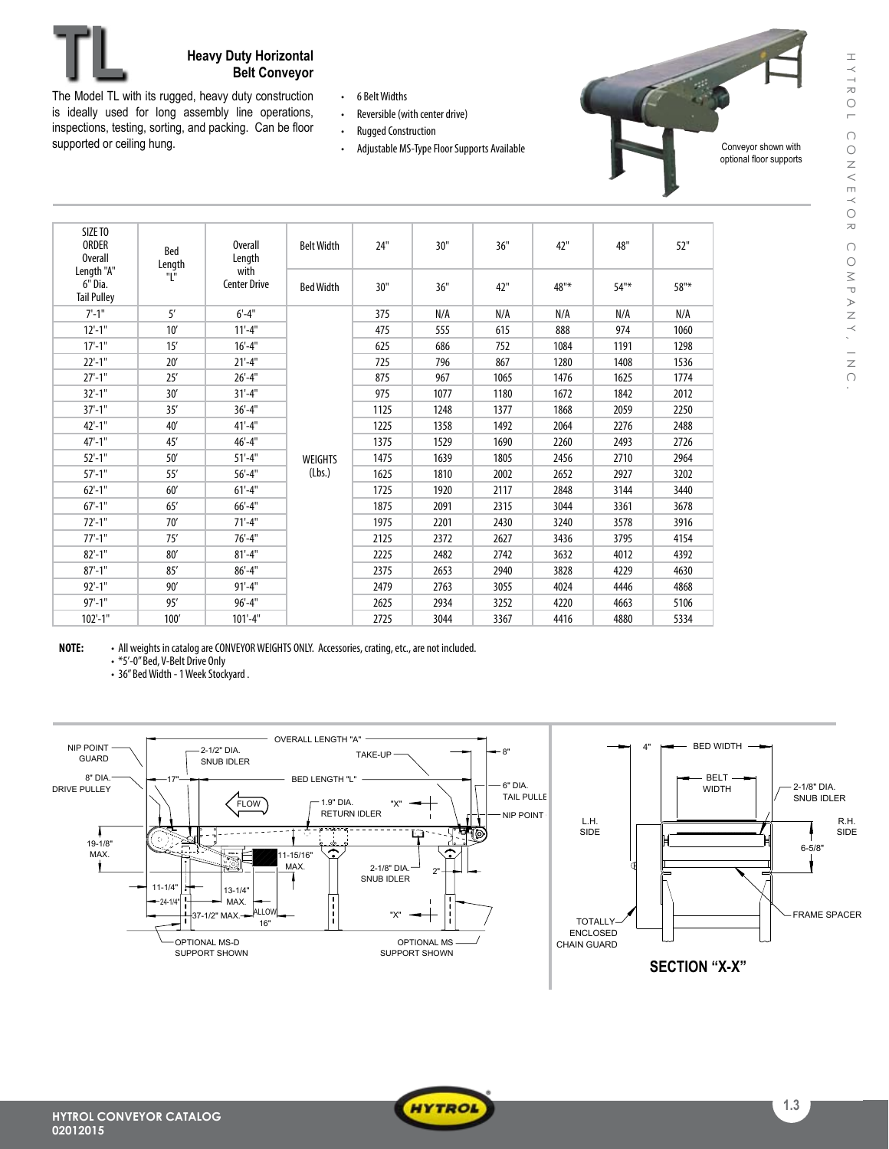

## **Heavy Duty Horizontal Belt Conveyor**

The Model TL with its rugged, heavy duty construction is ideally used for long assembly line operations, inspections, testing, sorting, and packing. Can be floor supported or ceiling hung.

- • 6 BeltWidths
- Reversible (with center drive)
- Rugged Construction
- Adjustable MS-Type Floor Supports Available

Conveyor shown with optional floor supports

| SIZE TO<br>ORDER<br><b>Overall</b><br>Length "A" | Bed<br>Length<br>"L" | <b>Overall</b><br>Length<br>with | <b>Belt Width</b> | 24"  | 30"  | 36"  | 42"  | 48"     | 52"  |
|--------------------------------------------------|----------------------|----------------------------------|-------------------|------|------|------|------|---------|------|
| 6" Dia.<br><b>Tail Pulley</b>                    |                      | <b>Center Drive</b>              | <b>Bed Width</b>  | 30"  | 36"  | 42"  | 48"* | $54"$ * | 58"* |
| $7 - 1"$                                         | 5'                   | $6' - 4''$                       |                   | 375  | N/A  | N/A  | N/A  | N/A     | N/A  |
| $12'-1$ "                                        | 10'                  | $11'-4"$                         |                   | 475  | 555  | 615  | 888  | 974     | 1060 |
| $17'-1$ "                                        | 15'                  | $16'-4"$                         |                   | 625  | 686  | 752  | 1084 | 1191    | 1298 |
| $22'-1"$                                         | 20'                  | $21'-4"$                         |                   | 725  | 796  | 867  | 1280 | 1408    | 1536 |
| $27'-1$ "                                        | 25'                  | $26'-4"$                         |                   | 875  | 967  | 1065 | 1476 | 1625    | 1774 |
| $32'-1$ "                                        | 30'                  | $31 - 4"$                        |                   | 975  | 1077 | 1180 | 1672 | 1842    | 2012 |
| $37'-1$ "                                        | 35'                  | $36'-4"$                         |                   | 1125 | 1248 | 1377 | 1868 | 2059    | 2250 |
| $42 - 1$ "                                       | 40'                  | $41'-4"$                         |                   | 1225 | 1358 | 1492 | 2064 | 2276    | 2488 |
| $47 - 1$ "                                       | 45'                  | $46' - 4"$                       |                   | 1375 | 1529 | 1690 | 2260 | 2493    | 2726 |
| $52'-1$ "                                        | 50'                  | $51'-4"$                         | <b>WEIGHTS</b>    | 1475 | 1639 | 1805 | 2456 | 2710    | 2964 |
| $57' - 1''$                                      | 55'                  | $56' - 4"$                       | (Lbs.)            | 1625 | 1810 | 2002 | 2652 | 2927    | 3202 |
| $62'-1$ "                                        | 60'                  | $61'-4"$                         |                   | 1725 | 1920 | 2117 | 2848 | 3144    | 3440 |
| $67'-1$ "                                        | 65'                  | $66' - 4"$                       |                   | 1875 | 2091 | 2315 | 3044 | 3361    | 3678 |
| $72 - 1"$                                        | 70'                  | $71'-4"$                         |                   | 1975 | 2201 | 2430 | 3240 | 3578    | 3916 |
| $77' - 1''$                                      | 75'                  | $76' - 4''$                      |                   | 2125 | 2372 | 2627 | 3436 | 3795    | 4154 |
| $82 - 1$ "                                       | 80'                  | $81 - 4"$                        |                   | 2225 | 2482 | 2742 | 3632 | 4012    | 4392 |
| $87' - 1''$                                      | 85'                  | $86'-4"$                         |                   | 2375 | 2653 | 2940 | 3828 | 4229    | 4630 |
| $92'-1$ "                                        | 90'                  | $91'-4"$                         |                   | 2479 | 2763 | 3055 | 4024 | 4446    | 4868 |
| $97' - 1''$                                      | 95'                  | $96' - 4''$                      |                   | 2625 | 2934 | 3252 | 4220 | 4663    | 5106 |
| $102' - 1"$                                      | 100'                 | $101'-4"$                        |                   | 2725 | 3044 | 3367 | 4416 | 4880    | 5334 |

NOTE: • All weights in catalog are CONVEYOR WEIGHTS ONLY. Accessories, crating, etc., are not included.

 • \*5'-0"Bed, V-Belt Drive Only

• 36" Bed Width - 1 Week Stockyard.